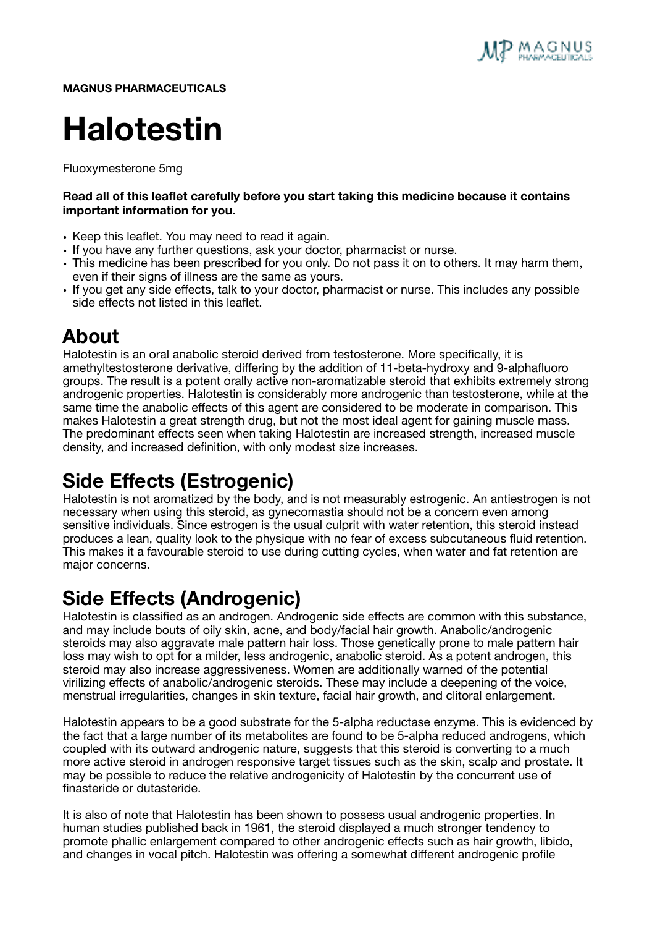

**MAGNUS PHARMACEUTICALS** 

# **Halotestin**

Fluoxymesterone 5mg

#### **Read all of this leaflet carefully before you start taking this medicine because it contains important information for you.**

- Keep this leaflet. You may need to read it again.
- If you have any further questions, ask your doctor, pharmacist or nurse.
- This medicine has been prescribed for you only. Do not pass it on to others. It may harm them, even if their signs of illness are the same as yours.
- If you get any side effects, talk to your doctor, pharmacist or nurse. This includes any possible side effects not listed in this leaflet.

#### **About**

Halotestin is an oral anabolic steroid derived from testosterone. More specifically, it is amethyltestosterone derivative, differing by the addition of 11-beta-hydroxy and 9-alphafluoro groups. The result is a potent orally active non-aromatizable steroid that exhibits extremely strong androgenic properties. Halotestin is considerably more androgenic than testosterone, while at the same time the anabolic effects of this agent are considered to be moderate in comparison. This makes Halotestin a great strength drug, but not the most ideal agent for gaining muscle mass. The predominant effects seen when taking Halotestin are increased strength, increased muscle density, and increased definition, with only modest size increases.

### **Side Effects (Estrogenic)**

Halotestin is not aromatized by the body, and is not measurably estrogenic. An antiestrogen is not necessary when using this steroid, as gynecomastia should not be a concern even among sensitive individuals. Since estrogen is the usual culprit with water retention, this steroid instead produces a lean, quality look to the physique with no fear of excess subcutaneous fluid retention. This makes it a favourable steroid to use during cutting cycles, when water and fat retention are major concerns.

#### **Side Effects (Androgenic)**

Halotestin is classified as an androgen. Androgenic side effects are common with this substance, and may include bouts of oily skin, acne, and body/facial hair growth. Anabolic/androgenic steroids may also aggravate male pattern hair loss. Those genetically prone to male pattern hair loss may wish to opt for a milder, less androgenic, anabolic steroid. As a potent androgen, this steroid may also increase aggressiveness. Women are additionally warned of the potential virilizing effects of anabolic/androgenic steroids. These may include a deepening of the voice, menstrual irregularities, changes in skin texture, facial hair growth, and clitoral enlargement.

Halotestin appears to be a good substrate for the 5-alpha reductase enzyme. This is evidenced by the fact that a large number of its metabolites are found to be 5-alpha reduced androgens, which coupled with its outward androgenic nature, suggests that this steroid is converting to a much more active steroid in androgen responsive target tissues such as the skin, scalp and prostate. It may be possible to reduce the relative androgenicity of Halotestin by the concurrent use of finasteride or dutasteride.

It is also of note that Halotestin has been shown to possess usual androgenic properties. In human studies published back in 1961, the steroid displayed a much stronger tendency to promote phallic enlargement compared to other androgenic effects such as hair growth, libido, and changes in vocal pitch. Halotestin was offering a somewhat different androgenic profile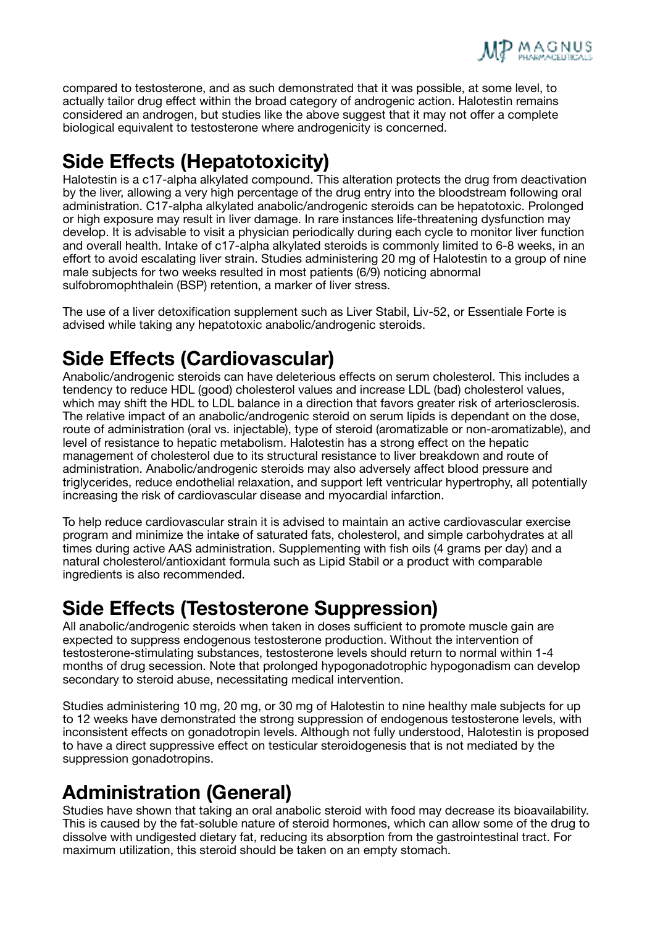

compared to testosterone, and as such demonstrated that it was possible, at some level, to actually tailor drug effect within the broad category of androgenic action. Halotestin remains considered an androgen, but studies like the above suggest that it may not offer a complete biological equivalent to testosterone where androgenicity is concerned.

## **Side Effects (Hepatotoxicity)**

Halotestin is a c17-alpha alkylated compound. This alteration protects the drug from deactivation by the liver, allowing a very high percentage of the drug entry into the bloodstream following oral administration. C17-alpha alkylated anabolic/androgenic steroids can be hepatotoxic. Prolonged or high exposure may result in liver damage. In rare instances life-threatening dysfunction may develop. It is advisable to visit a physician periodically during each cycle to monitor liver function and overall health. Intake of c17-alpha alkylated steroids is commonly limited to 6-8 weeks, in an effort to avoid escalating liver strain. Studies administering 20 mg of Halotestin to a group of nine male subjects for two weeks resulted in most patients (6/9) noticing abnormal sulfobromophthalein (BSP) retention, a marker of liver stress.

The use of a liver detoxification supplement such as Liver Stabil, Liv-52, or Essentiale Forte is advised while taking any hepatotoxic anabolic/androgenic steroids.

### **Side Effects (Cardiovascular)**

Anabolic/androgenic steroids can have deleterious effects on serum cholesterol. This includes a tendency to reduce HDL (good) cholesterol values and increase LDL (bad) cholesterol values, which may shift the HDL to LDL balance in a direction that favors greater risk of arteriosclerosis. The relative impact of an anabolic/androgenic steroid on serum lipids is dependant on the dose, route of administration (oral vs. injectable), type of steroid (aromatizable or non-aromatizable), and level of resistance to hepatic metabolism. Halotestin has a strong effect on the hepatic management of cholesterol due to its structural resistance to liver breakdown and route of administration. Anabolic/androgenic steroids may also adversely affect blood pressure and triglycerides, reduce endothelial relaxation, and support left ventricular hypertrophy, all potentially increasing the risk of cardiovascular disease and myocardial infarction.

To help reduce cardiovascular strain it is advised to maintain an active cardiovascular exercise program and minimize the intake of saturated fats, cholesterol, and simple carbohydrates at all times during active AAS administration. Supplementing with fish oils (4 grams per day) and a natural cholesterol/antioxidant formula such as Lipid Stabil or a product with comparable ingredients is also recommended.

#### **Side Effects (Testosterone Suppression)**

All anabolic/androgenic steroids when taken in doses sufficient to promote muscle gain are expected to suppress endogenous testosterone production. Without the intervention of testosterone-stimulating substances, testosterone levels should return to normal within 1-4 months of drug secession. Note that prolonged hypogonadotrophic hypogonadism can develop secondary to steroid abuse, necessitating medical intervention.

Studies administering 10 mg, 20 mg, or 30 mg of Halotestin to nine healthy male subjects for up to 12 weeks have demonstrated the strong suppression of endogenous testosterone levels, with inconsistent effects on gonadotropin levels. Although not fully understood, Halotestin is proposed to have a direct suppressive effect on testicular steroidogenesis that is not mediated by the suppression gonadotropins.

### **Administration (General)**

Studies have shown that taking an oral anabolic steroid with food may decrease its bioavailability. This is caused by the fat-soluble nature of steroid hormones, which can allow some of the drug to dissolve with undigested dietary fat, reducing its absorption from the gastrointestinal tract. For maximum utilization, this steroid should be taken on an empty stomach.